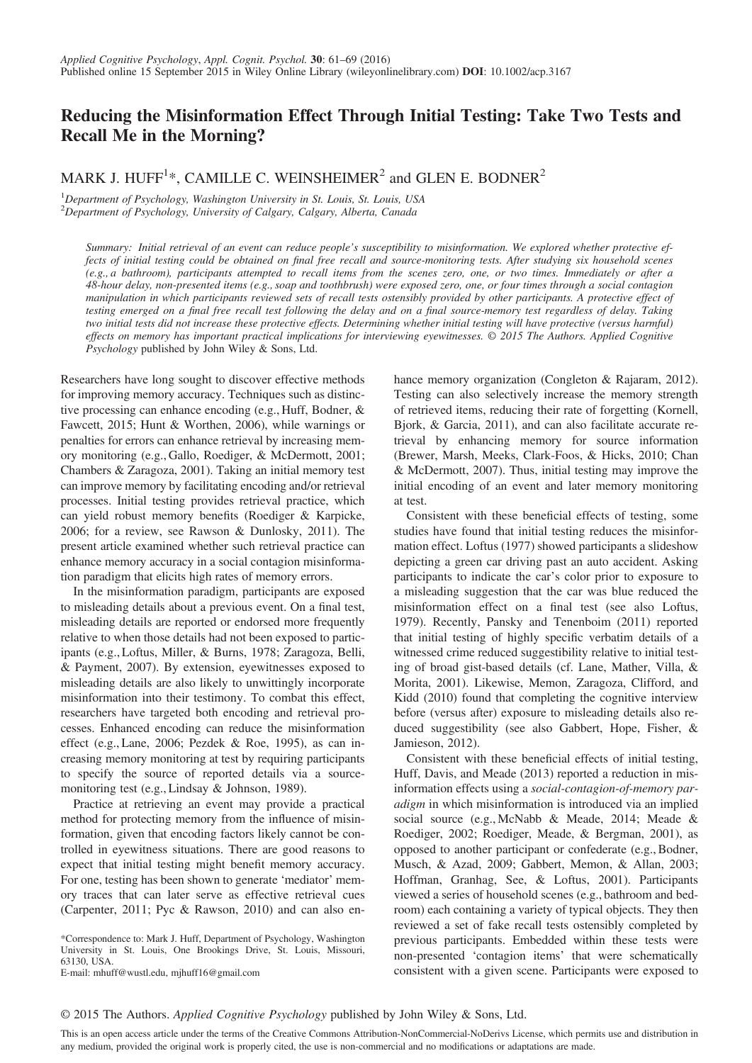# Reducing the Misinformation Effect Through Initial Testing: Take Two Tests and Recall Me in the Morning?

# MARK J. HUFF<sup>1\*</sup>, CAMILLE C. WEINSHEIMER<sup>2</sup> and GLEN E. BODNER<sup>2</sup>

<sup>1</sup>Department of Psychology, Washington University in St. Louis, St. Louis, USA <sup>2</sup>Department of Psychology, University of Calgary, Calgary, Alberta, Canada

Summary: Initial retrieval of an event can reduce people's susceptibility to misinformation. We explored whether protective effects of initial testing could be obtained on final free recall and source-monitoring tests. After studying six household scenes (e.g., a bathroom), participants attempted to recall items from the scenes zero, one, or two times. Immediately or after a 48-hour delay, non-presented items (e.g., soap and toothbrush) were exposed zero, one, or four times through a social contagion manipulation in which participants reviewed sets of recall tests ostensibly provided by other participants. A protective effect of testing emerged on a final free recall test following the delay and on a final source-memory test regardless of delay. Taking two initial tests did not increase these protective effects. Determining whether initial testing will have protective (versus harmful) effects on memory has important practical implications for interviewing eyewitnesses. © 2015 The Authors. Applied Cognitive Psychology published by John Wiley & Sons, Ltd.

Researchers have long sought to discover effective methods for improving memory accuracy. Techniques such as distinctive processing can enhance encoding (e.g., Huff, Bodner, & Fawcett, 2015; Hunt & Worthen, 2006), while warnings or penalties for errors can enhance retrieval by increasing memory monitoring (e.g., Gallo, Roediger, & McDermott, 2001; Chambers & Zaragoza, 2001). Taking an initial memory test can improve memory by facilitating encoding and/or retrieval processes. Initial testing provides retrieval practice, which can yield robust memory benefits (Roediger & Karpicke, 2006; for a review, see Rawson & Dunlosky, 2011). The present article examined whether such retrieval practice can enhance memory accuracy in a social contagion misinformation paradigm that elicits high rates of memory errors.

In the misinformation paradigm, participants are exposed to misleading details about a previous event. On a final test, misleading details are reported or endorsed more frequently relative to when those details had not been exposed to participants (e.g., Loftus, Miller, & Burns, 1978; Zaragoza, Belli, & Payment, 2007). By extension, eyewitnesses exposed to misleading details are also likely to unwittingly incorporate misinformation into their testimony. To combat this effect, researchers have targeted both encoding and retrieval processes. Enhanced encoding can reduce the misinformation effect (e.g., Lane, 2006; Pezdek & Roe, 1995), as can increasing memory monitoring at test by requiring participants to specify the source of reported details via a sourcemonitoring test (e.g., Lindsay & Johnson, 1989).

Practice at retrieving an event may provide a practical method for protecting memory from the influence of misinformation, given that encoding factors likely cannot be controlled in eyewitness situations. There are good reasons to expect that initial testing might benefit memory accuracy. For one, testing has been shown to generate 'mediator' memory traces that can later serve as effective retrieval cues (Carpenter, 2011; Pyc & Rawson, 2010) and can also en-

\*Correspondence to: Mark J. Huff, Department of Psychology, Washington University in St. Louis, One Brookings Drive, St. Louis, Missouri, 63130, USA.

hance memory organization (Congleton & Rajaram, 2012). Testing can also selectively increase the memory strength of retrieved items, reducing their rate of forgetting (Kornell, Bjork, & Garcia, 2011), and can also facilitate accurate retrieval by enhancing memory for source information (Brewer, Marsh, Meeks, Clark-Foos, & Hicks, 2010; Chan & McDermott, 2007). Thus, initial testing may improve the initial encoding of an event and later memory monitoring at test.

Consistent with these beneficial effects of testing, some studies have found that initial testing reduces the misinformation effect. Loftus (1977) showed participants a slideshow depicting a green car driving past an auto accident. Asking participants to indicate the car's color prior to exposure to a misleading suggestion that the car was blue reduced the misinformation effect on a final test (see also Loftus, 1979). Recently, Pansky and Tenenboim (2011) reported that initial testing of highly specific verbatim details of a witnessed crime reduced suggestibility relative to initial testing of broad gist-based details (cf. Lane, Mather, Villa, & Morita, 2001). Likewise, Memon, Zaragoza, Clifford, and Kidd (2010) found that completing the cognitive interview before (versus after) exposure to misleading details also reduced suggestibility (see also Gabbert, Hope, Fisher, & Jamieson, 2012).

Consistent with these beneficial effects of initial testing, Huff, Davis, and Meade (2013) reported a reduction in misinformation effects using a social-contagion-of-memory paradigm in which misinformation is introduced via an implied social source (e.g., McNabb & Meade, 2014; Meade & Roediger, 2002; Roediger, Meade, & Bergman, 2001), as opposed to another participant or confederate (e.g., Bodner, Musch, & Azad, 2009; Gabbert, Memon, & Allan, 2003; Hoffman, Granhag, See, & Loftus, 2001). Participants viewed a series of household scenes (e.g., bathroom and bedroom) each containing a variety of typical objects. They then reviewed a set of fake recall tests ostensibly completed by previous participants. Embedded within these tests were non-presented 'contagion items' that were schematically consistent with a given scene. Participants were exposed to

## E-mail: mhuff@wustl.edu, mjhuff16@gmail.com

## © 2015 The Authors. Applied Cognitive Psychology published by John Wiley & Sons, Ltd.

This is an open access article under the terms of the [Creative Commons Attribution-NonCommercial-NoDerivs](http://creativecommons.org/licenses/by-nc-nd/4.0/) License, which permits use and distribution in any medium, provided the original work is properly cited, the use is non-commercial and no modifications or adaptations are made.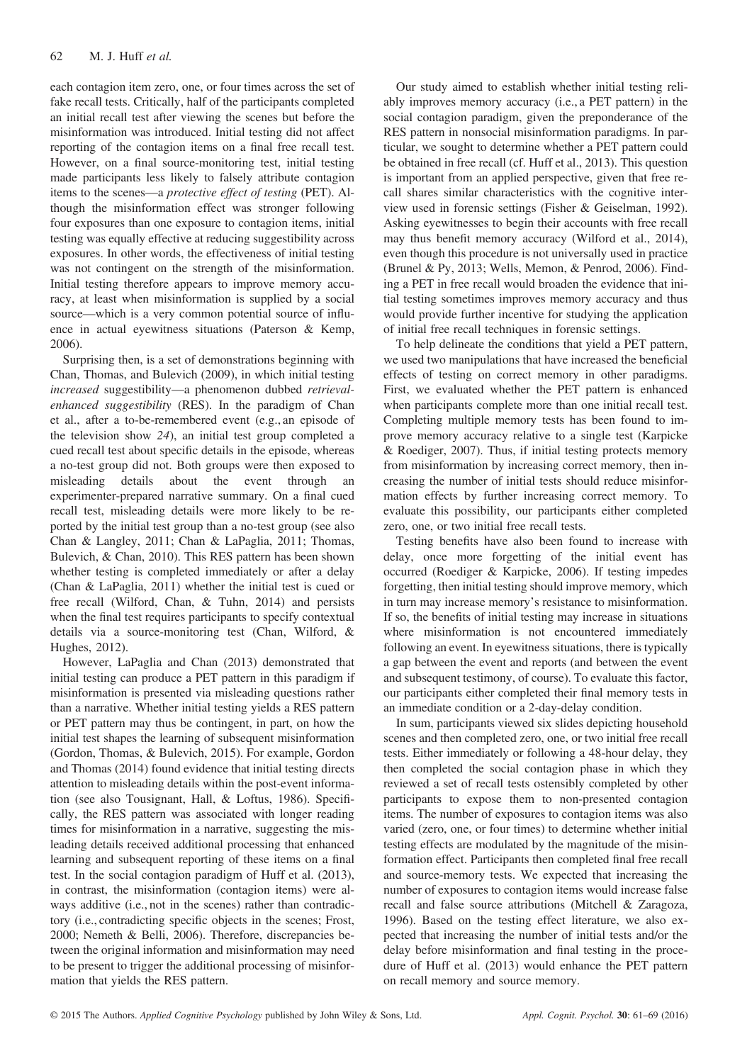each contagion item zero, one, or four times across the set of fake recall tests. Critically, half of the participants completed an initial recall test after viewing the scenes but before the misinformation was introduced. Initial testing did not affect reporting of the contagion items on a final free recall test. However, on a final source-monitoring test, initial testing made participants less likely to falsely attribute contagion items to the scenes—a protective effect of testing (PET). Although the misinformation effect was stronger following four exposures than one exposure to contagion items, initial testing was equally effective at reducing suggestibility across exposures. In other words, the effectiveness of initial testing was not contingent on the strength of the misinformation. Initial testing therefore appears to improve memory accuracy, at least when misinformation is supplied by a social source—which is a very common potential source of influence in actual eyewitness situations (Paterson & Kemp, 2006).

Surprising then, is a set of demonstrations beginning with Chan, Thomas, and Bulevich (2009), in which initial testing increased suggestibility—a phenomenon dubbed retrievalenhanced suggestibility (RES). In the paradigm of Chan et al., after a to-be-remembered event (e.g., an episode of the television show 24), an initial test group completed a cued recall test about specific details in the episode, whereas a no-test group did not. Both groups were then exposed to misleading details about the event through an experimenter-prepared narrative summary. On a final cued recall test, misleading details were more likely to be reported by the initial test group than a no-test group (see also Chan & Langley, 2011; Chan & LaPaglia, 2011; Thomas, Bulevich, & Chan, 2010). This RES pattern has been shown whether testing is completed immediately or after a delay (Chan & LaPaglia, 2011) whether the initial test is cued or free recall (Wilford, Chan, & Tuhn, 2014) and persists when the final test requires participants to specify contextual details via a source-monitoring test (Chan, Wilford, & Hughes, 2012).

However, LaPaglia and Chan (2013) demonstrated that initial testing can produce a PET pattern in this paradigm if misinformation is presented via misleading questions rather than a narrative. Whether initial testing yields a RES pattern or PET pattern may thus be contingent, in part, on how the initial test shapes the learning of subsequent misinformation (Gordon, Thomas, & Bulevich, 2015). For example, Gordon and Thomas (2014) found evidence that initial testing directs attention to misleading details within the post-event information (see also Tousignant, Hall, & Loftus, 1986). Specifically, the RES pattern was associated with longer reading times for misinformation in a narrative, suggesting the misleading details received additional processing that enhanced learning and subsequent reporting of these items on a final test. In the social contagion paradigm of Huff et al. (2013), in contrast, the misinformation (contagion items) were always additive (i.e., not in the scenes) rather than contradictory (i.e., contradicting specific objects in the scenes; Frost, 2000; Nemeth & Belli, 2006). Therefore, discrepancies between the original information and misinformation may need to be present to trigger the additional processing of misinformation that yields the RES pattern.

Our study aimed to establish whether initial testing reliably improves memory accuracy (i.e., a PET pattern) in the social contagion paradigm, given the preponderance of the RES pattern in nonsocial misinformation paradigms. In particular, we sought to determine whether a PET pattern could be obtained in free recall (cf. Huff et al., 2013). This question is important from an applied perspective, given that free recall shares similar characteristics with the cognitive interview used in forensic settings (Fisher & Geiselman, 1992). Asking eyewitnesses to begin their accounts with free recall may thus benefit memory accuracy (Wilford et al., 2014), even though this procedure is not universally used in practice (Brunel & Py, 2013; Wells, Memon, & Penrod, 2006). Finding a PET in free recall would broaden the evidence that initial testing sometimes improves memory accuracy and thus would provide further incentive for studying the application of initial free recall techniques in forensic settings.

To help delineate the conditions that yield a PET pattern, we used two manipulations that have increased the beneficial effects of testing on correct memory in other paradigms. First, we evaluated whether the PET pattern is enhanced when participants complete more than one initial recall test. Completing multiple memory tests has been found to improve memory accuracy relative to a single test (Karpicke & Roediger, 2007). Thus, if initial testing protects memory from misinformation by increasing correct memory, then increasing the number of initial tests should reduce misinformation effects by further increasing correct memory. To evaluate this possibility, our participants either completed zero, one, or two initial free recall tests.

Testing benefits have also been found to increase with delay, once more forgetting of the initial event has occurred (Roediger & Karpicke, 2006). If testing impedes forgetting, then initial testing should improve memory, which in turn may increase memory's resistance to misinformation. If so, the benefits of initial testing may increase in situations where misinformation is not encountered immediately following an event. In eyewitness situations, there is typically a gap between the event and reports (and between the event and subsequent testimony, of course). To evaluate this factor, our participants either completed their final memory tests in an immediate condition or a 2-day-delay condition.

In sum, participants viewed six slides depicting household scenes and then completed zero, one, or two initial free recall tests. Either immediately or following a 48-hour delay, they then completed the social contagion phase in which they reviewed a set of recall tests ostensibly completed by other participants to expose them to non-presented contagion items. The number of exposures to contagion items was also varied (zero, one, or four times) to determine whether initial testing effects are modulated by the magnitude of the misinformation effect. Participants then completed final free recall and source-memory tests. We expected that increasing the number of exposures to contagion items would increase false recall and false source attributions (Mitchell & Zaragoza, 1996). Based on the testing effect literature, we also expected that increasing the number of initial tests and/or the delay before misinformation and final testing in the procedure of Huff et al. (2013) would enhance the PET pattern on recall memory and source memory.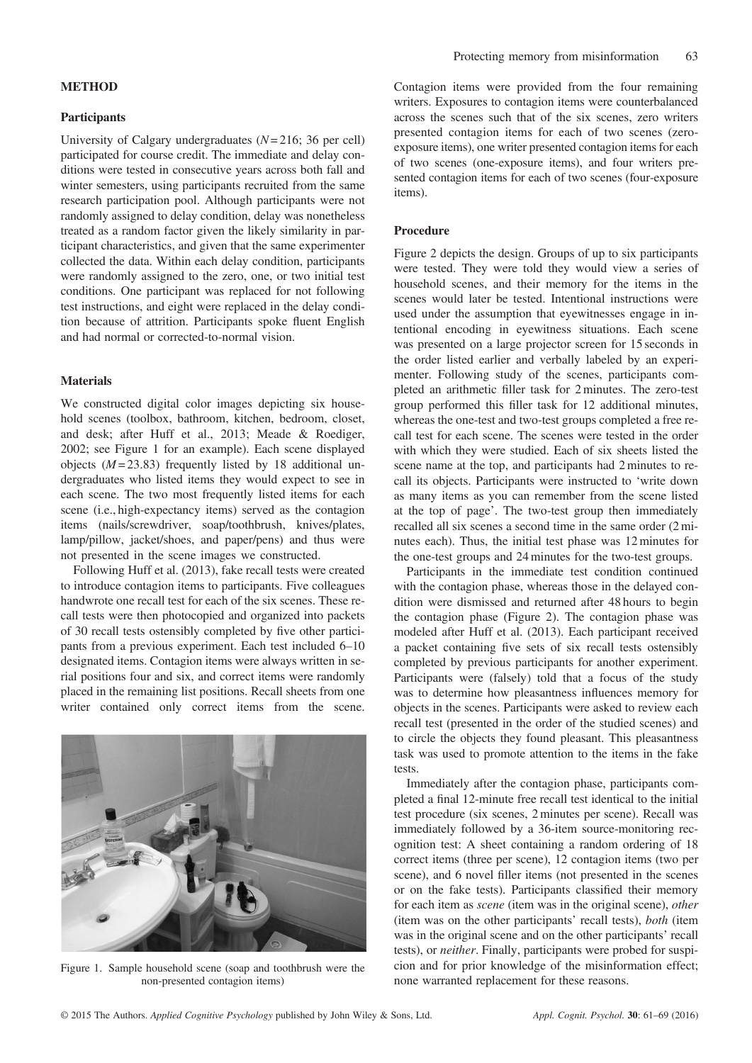## **METHOD**

## Participants

University of Calgary undergraduates  $(N= 216; 36$  per cell) participated for course credit. The immediate and delay conditions were tested in consecutive years across both fall and winter semesters, using participants recruited from the same research participation pool. Although participants were not randomly assigned to delay condition, delay was nonetheless treated as a random factor given the likely similarity in participant characteristics, and given that the same experimenter collected the data. Within each delay condition, participants were randomly assigned to the zero, one, or two initial test conditions. One participant was replaced for not following test instructions, and eight were replaced in the delay condition because of attrition. Participants spoke fluent English and had normal or corrected-to-normal vision.

#### **Materials**

We constructed digital color images depicting six household scenes (toolbox, bathroom, kitchen, bedroom, closet, and desk; after Huff et al., 2013; Meade & Roediger, 2002; see Figure 1 for an example). Each scene displayed objects  $(M=23.83)$  frequently listed by 18 additional undergraduates who listed items they would expect to see in each scene. The two most frequently listed items for each scene (i.e., high-expectancy items) served as the contagion items (nails/screwdriver, soap/toothbrush, knives/plates, lamp/pillow, jacket/shoes, and paper/pens) and thus were not presented in the scene images we constructed.

Following Huff et al. (2013), fake recall tests were created to introduce contagion items to participants. Five colleagues handwrote one recall test for each of the six scenes. These recall tests were then photocopied and organized into packets of 30 recall tests ostensibly completed by five other participants from a previous experiment. Each test included 6–10 designated items. Contagion items were always written in serial positions four and six, and correct items were randomly placed in the remaining list positions. Recall sheets from one writer contained only correct items from the scene.



Figure 1. Sample household scene (soap and toothbrush were the non-presented contagion items)

Contagion items were provided from the four remaining writers. Exposures to contagion items were counterbalanced across the scenes such that of the six scenes, zero writers presented contagion items for each of two scenes (zeroexposure items), one writer presented contagion items for each of two scenes (one-exposure items), and four writers presented contagion items for each of two scenes (four-exposure items).

## Procedure

Figure 2 depicts the design. Groups of up to six participants were tested. They were told they would view a series of household scenes, and their memory for the items in the scenes would later be tested. Intentional instructions were used under the assumption that eyewitnesses engage in intentional encoding in eyewitness situations. Each scene was presented on a large projector screen for 15 seconds in the order listed earlier and verbally labeled by an experimenter. Following study of the scenes, participants completed an arithmetic filler task for 2 minutes. The zero-test group performed this filler task for 12 additional minutes, whereas the one-test and two-test groups completed a free recall test for each scene. The scenes were tested in the order with which they were studied. Each of six sheets listed the scene name at the top, and participants had 2 minutes to recall its objects. Participants were instructed to 'write down as many items as you can remember from the scene listed at the top of page'. The two-test group then immediately recalled all six scenes a second time in the same order (2 minutes each). Thus, the initial test phase was 12 minutes for the one-test groups and 24 minutes for the two-test groups.

Participants in the immediate test condition continued with the contagion phase, whereas those in the delayed condition were dismissed and returned after 48 hours to begin the contagion phase (Figure 2). The contagion phase was modeled after Huff et al. (2013). Each participant received a packet containing five sets of six recall tests ostensibly completed by previous participants for another experiment. Participants were (falsely) told that a focus of the study was to determine how pleasantness influences memory for objects in the scenes. Participants were asked to review each recall test (presented in the order of the studied scenes) and to circle the objects they found pleasant. This pleasantness task was used to promote attention to the items in the fake tests.

Immediately after the contagion phase, participants completed a final 12-minute free recall test identical to the initial test procedure (six scenes, 2 minutes per scene). Recall was immediately followed by a 36-item source-monitoring recognition test: A sheet containing a random ordering of 18 correct items (three per scene), 12 contagion items (two per scene), and 6 novel filler items (not presented in the scenes or on the fake tests). Participants classified their memory for each item as scene (item was in the original scene), other (item was on the other participants' recall tests), both (item was in the original scene and on the other participants' recall tests), or neither. Finally, participants were probed for suspicion and for prior knowledge of the misinformation effect; none warranted replacement for these reasons.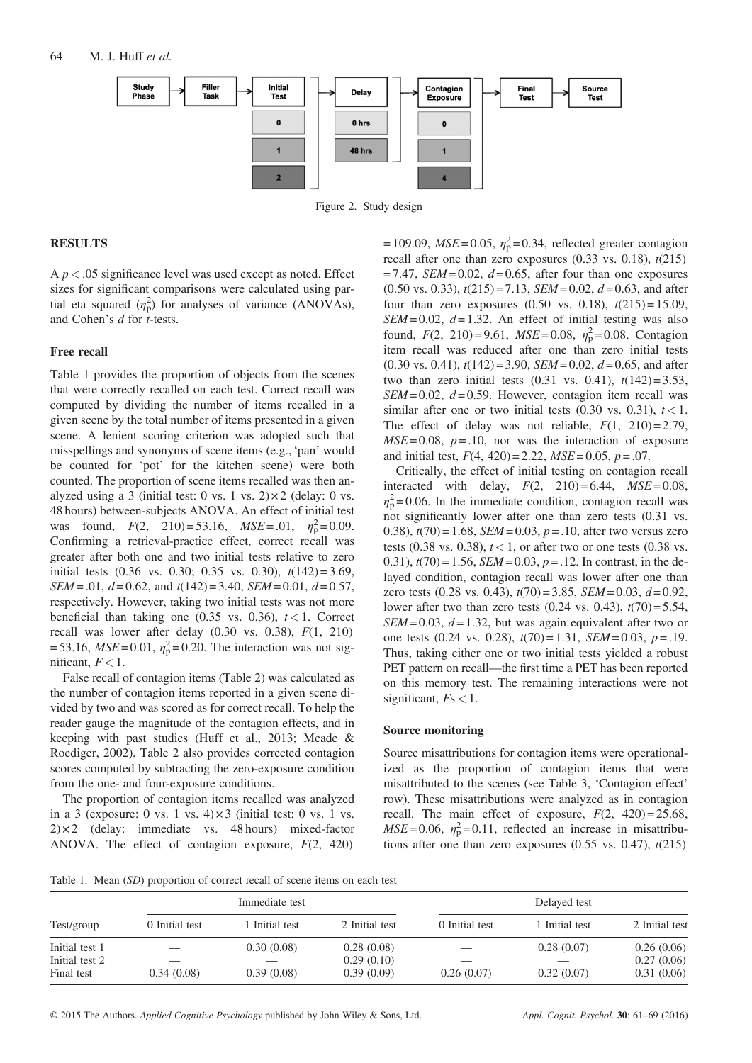

Figure 2. Study design

#### RESULTS

A  $p < .05$  significance level was used except as noted. Effect sizes for significant comparisons were calculated using partial eta squared  $(\eta_P^2)$  for analyses of variance (ANOVAs), and Cohen's d for t-tests.

## Free recall

Table 1 provides the proportion of objects from the scenes that were correctly recalled on each test. Correct recall was computed by dividing the number of items recalled in a given scene by the total number of items presented in a given scene. A lenient scoring criterion was adopted such that misspellings and synonyms of scene items (e.g.,'pan' would be counted for 'pot' for the kitchen scene) were both counted. The proportion of scene items recalled was then analyzed using a 3 (initial test: 0 vs. 1 vs.  $2 \times 2$  (delay: 0 vs. 48 hours) between-subjects ANOVA. An effect of initial test was found,  $F(2, 210) = 53.16$ ,  $MSE = .01$ ,  $\eta_p^2 = 0.09$ . Confirming a retrieval-practice effect, correct recall was greater after both one and two initial tests relative to zero initial tests  $(0.36 \text{ vs. } 0.30; 0.35 \text{ vs. } 0.30; t(142) = 3.69,$  $SEM = .01, d = 0.62, and t(142) = 3.40, SEM = 0.01, d = 0.57,$ respectively. However, taking two initial tests was not more beneficial than taking one (0.35 vs. 0.36),  $t < 1$ . Correct recall was lower after delay  $(0.30 \text{ vs. } 0.38)$ ,  $F(1, 210)$ = 53.16,  $MSE = 0.01$ ,  $\eta_p^2 = 0.20$ . The interaction was not significant,  $F < 1$ .

False recall of contagion items (Table 2) was calculated as the number of contagion items reported in a given scene divided by two and was scored as for correct recall. To help the reader gauge the magnitude of the contagion effects, and in keeping with past studies (Huff et al., 2013; Meade & Roediger, 2002), Table 2 also provides corrected contagion scores computed by subtracting the zero-exposure condition from the one- and four-exposure conditions.

The proportion of contagion items recalled was analyzed in a 3 (exposure: 0 vs. 1 vs.  $4 \times 3$  (initial test: 0 vs. 1 vs.  $2) \times 2$  (delay: immediate vs. 48 hours) mixed-factor ANOVA. The effect of contagion exposure,  $F(2, 420)$ 

 $= 109.09$ ,  $MSE = 0.05$ ,  $\eta_p^2 = 0.34$ , reflected greater contagion recall after one than zero exposures  $(0.33 \text{ vs. } 0.18)$ ,  $t(215)$  $= 7.47$ , SEM  $= 0.02$ ,  $d = 0.65$ , after four than one exposures  $(0.50 \text{ vs. } 0.33), t(215) = 7.13, SEM = 0.02, d = 0.63, and after$ four than zero exposures  $(0.50 \text{ vs. } 0.18)$ ,  $t(215) = 15.09$ ,  $SEM = 0.02$ ,  $d = 1.32$ . An effect of initial testing was also found,  $F(2, 210) = 9.61$ ,  $MSE = 0.08$ ,  $\eta_p^2 = 0.08$ . Contagion item recall was reduced after one than zero initial tests  $(0.30 \text{ vs. } 0.41), t(142) = 3.90, SEM = 0.02, d = 0.65, and after$ two than zero initial tests  $(0.31 \text{ vs. } 0.41)$ ,  $t(142) = 3.53$ ,  $SEM = 0.02$ ,  $d = 0.59$ . However, contagion item recall was similar after one or two initial tests (0.30 vs. 0.31),  $t < 1$ . The effect of delay was not reliable,  $F(1, 210) = 2.79$ ,  $MSE = 0.08$ ,  $p = .10$ , nor was the interaction of exposure and initial test,  $F(4, 420) = 2.22$ ,  $MSE = 0.05$ ,  $p = .07$ .

Critically, the effect of initial testing on contagion recall interacted with delay,  $F(2, 210) = 6.44$ ,  $MSE = 0.08$ ,  $\eta_{\rm p}^2$  = 0.06. In the immediate condition, contagion recall was not significantly lower after one than zero tests (0.31 vs. 0.38),  $t(70) = 1.68$ ,  $SEM = 0.03$ ,  $p = .10$ , after two versus zero tests (0.38 vs. 0.38),  $t < 1$ , or after two or one tests (0.38 vs. 0.31),  $t(70) = 1.56$ ,  $SEM = 0.03$ ,  $p = .12$ . In contrast, in the delayed condition, contagion recall was lower after one than zero tests (0.28 vs. 0.43),  $t(70) = 3.85$ ,  $SEM = 0.03$ ,  $d = 0.92$ , lower after two than zero tests  $(0.24 \text{ vs. } 0.43)$ ,  $t(70) = 5.54$ ,  $SEM = 0.03$ ,  $d = 1.32$ , but was again equivalent after two or one tests  $(0.24 \text{ vs. } 0.28)$ ,  $t(70) = 1.31$ ,  $SEM = 0.03$ ,  $p = .19$ . Thus, taking either one or two initial tests yielded a robust PET pattern on recall—the first time a PET has been reported on this memory test. The remaining interactions were not significant,  $Fs < 1$ .

#### Source monitoring

Source misattributions for contagion items were operationalized as the proportion of contagion items that were misattributed to the scenes (see Table 3, 'Contagion effect' row). These misattributions were analyzed as in contagion recall. The main effect of exposure,  $F(2, 420) = 25.68$ ,  $MSE = 0.06$ ,  $\eta_p^2 = 0.11$ , reflected an increase in misattributions after one than zero exposures  $(0.55 \text{ vs. } 0.47)$ ,  $t(215)$ 

Table 1. Mean (SD) proportion of correct recall of scene items on each test

|                |                | Immediate test |                | Delayed test   |                |                |  |
|----------------|----------------|----------------|----------------|----------------|----------------|----------------|--|
| Test/group     | 0 Initial test | Initial test   | 2 Initial test | 0 Initial test | 1 Initial test | 2 Initial test |  |
| Initial test 1 |                | 0.30(0.08)     | 0.28(0.08)     |                | 0.28(0.07)     | 0.26(0.06)     |  |
| Initial test 2 | __             |                | 0.29(0.10)     |                |                | 0.27(0.06)     |  |
| Final test     | 0.34(0.08)     | 0.39(0.08)     | 0.39(0.09)     | 0.26(0.07)     | 0.32(0.07)     | 0.31(0.06)     |  |

© 2015 The Authors. Applied Cognitive Psychology published by John Wiley & Sons, Ltd. Appl. Cognit. Psychol. 30: 61–69 (2016)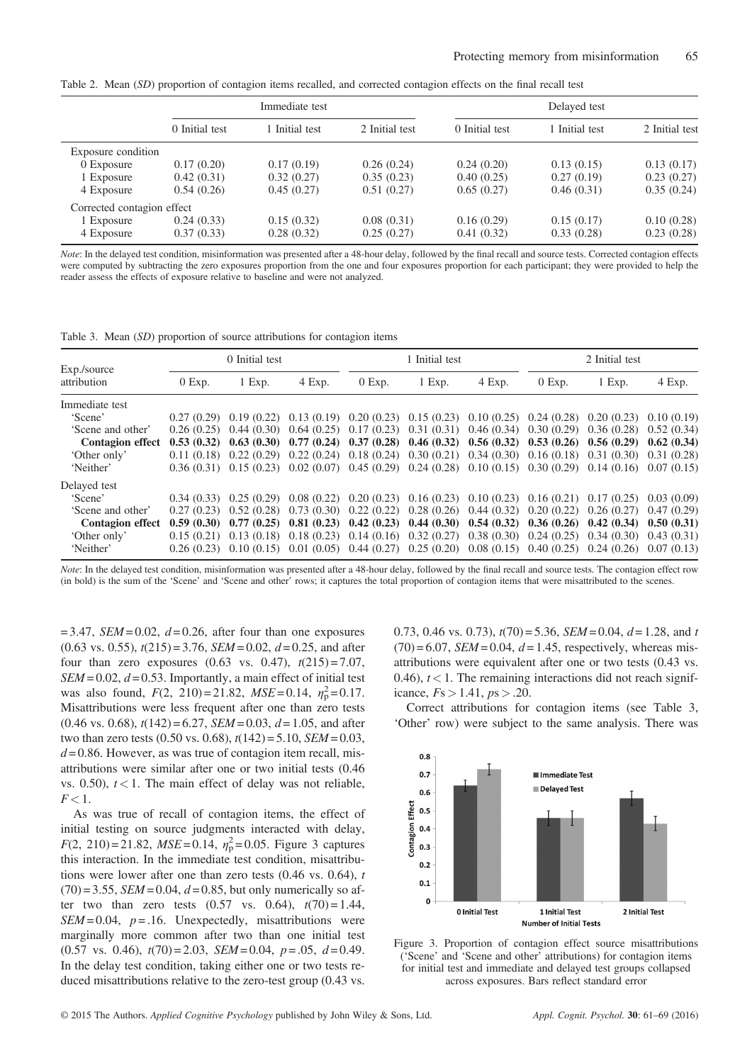Table 2. Mean (SD) proportion of contagion items recalled, and corrected contagion effects on the final recall test

|                            | Immediate test |                |                | Delayed test   |              |                |
|----------------------------|----------------|----------------|----------------|----------------|--------------|----------------|
|                            | 0 Initial test | 1 Initial test | 2 Initial test | 0 Initial test | Initial test | 2 Initial test |
| Exposure condition         |                |                |                |                |              |                |
| $0$ Exposure               | 0.17(0.20)     | 0.17(0.19)     | 0.26(0.24)     | 0.24(0.20)     | 0.13(0.15)   | 0.13(0.17)     |
| 1 Exposure                 | 0.42(0.31)     | 0.32(0.27)     | 0.35(0.23)     | 0.40(0.25)     | 0.27(0.19)   | 0.23(0.27)     |
| 4 Exposure                 | 0.54(0.26)     | 0.45(0.27)     | 0.51(0.27)     | 0.65(0.27)     | 0.46(0.31)   | 0.35(0.24)     |
| Corrected contagion effect |                |                |                |                |              |                |
| 1 Exposure                 | 0.24(0.33)     | 0.15(0.32)     | 0.08(0.31)     | 0.16(0.29)     | 0.15(0.17)   | 0.10(0.28)     |
| 4 Exposure                 | 0.37(0.33)     | 0.28(0.32)     | 0.25(0.27)     | 0.41(0.32)     | 0.33(0.28)   | 0.23(0.28)     |

Note: In the delayed test condition, misinformation was presented after a 48-hour delay, followed by the final recall and source tests. Corrected contagion effects were computed by subtracting the zero exposures proportion from the one and four exposures proportion for each participant; they were provided to help the reader assess the effects of exposure relative to baseline and were not analyzed.

Table 3. Mean (SD) proportion of source attributions for contagion items

| Exp./source             | 0 Initial test |                                                                                                                               |                                                                                                         | 1 Initial test |        |        | 2 Initial test                                                                             |        |            |
|-------------------------|----------------|-------------------------------------------------------------------------------------------------------------------------------|---------------------------------------------------------------------------------------------------------|----------------|--------|--------|--------------------------------------------------------------------------------------------|--------|------------|
| attribution             | $0$ Exp.       | 1 Exp.                                                                                                                        | 4 Exp.                                                                                                  | $0$ Exp.       | 1 Exp. | 4 Exp. | $0$ Exp.                                                                                   | 1 Exp. | 4 Exp.     |
| Immediate test          |                |                                                                                                                               |                                                                                                         |                |        |        |                                                                                            |        |            |
| 'Scene'                 |                | $0.27(0.29)$ $0.19(0.22)$ $0.13(0.19)$ $0.20(0.23)$ $0.15(0.23)$ $0.10(0.25)$ $0.24(0.28)$ $0.20(0.23)$ $0.10(0.19)$          |                                                                                                         |                |        |        |                                                                                            |        |            |
| 'Scene and other'       |                | $0.26(0.25)$ $0.44(0.30)$ $0.64(0.25)$ $0.17(0.23)$ $0.31(0.31)$ $0.46(0.34)$ $0.30(0.29)$ $0.36(0.28)$ $0.52(0.34)$          |                                                                                                         |                |        |        |                                                                                            |        |            |
| <b>Contagion effect</b> | 0.53(0.32)     |                                                                                                                               | $0.63(0.30)$ $0.77(0.24)$ $0.37(0.28)$ $0.46(0.32)$ $0.56(0.32)$ $0.53(0.26)$ $0.56(0.29)$ $0.62(0.34)$ |                |        |        |                                                                                            |        |            |
| 'Other only'            |                | $0.11$ (0.18) $0.22$ (0.29) $0.22$ (0.24) $0.18$ (0.24) $0.30$ (0.21) $0.34$ (0.30) $0.16$ (0.18) $0.31$ (0.30) $0.31$ (0.28) |                                                                                                         |                |        |        |                                                                                            |        |            |
| 'Neither'               |                | $0.36(0.31)$ $0.15(0.23)$ $0.02(0.07)$ $0.45(0.29)$ $0.24(0.28)$ $0.10(0.15)$ $0.30(0.29)$ $0.14(0.16)$                       |                                                                                                         |                |        |        |                                                                                            |        | 0.07(0.15) |
| Delayed test            |                |                                                                                                                               |                                                                                                         |                |        |        |                                                                                            |        |            |
| 'Scene'                 |                | $0.34(0.33)$ $0.25(0.29)$                                                                                                     |                                                                                                         |                |        |        | $0.08(0.22)$ $0.20(0.23)$ $0.16(0.23)$ $0.10(0.23)$ $0.16(0.21)$ $0.17(0.25)$              |        | 0.03(0.09) |
| 'Scene and other'       | 0.27(0.23)     | 0.52(0.28)                                                                                                                    |                                                                                                         |                |        |        | $0.73(0.30)$ $0.22(0.22)$ $0.28(0.26)$ $0.44(0.32)$ $0.20(0.22)$ $0.26(0.27)$ $0.47(0.29)$ |        |            |
| <b>Contagion effect</b> |                | $0.59(0.30)$ $0.77(0.25)$ $0.81(0.23)$ $0.42(0.23)$ $0.44(0.30)$ $0.54(0.32)$ $0.36(0.26)$ $0.42(0.34)$ $0.50(0.31)$          |                                                                                                         |                |        |        |                                                                                            |        |            |
| 'Other only'            | 0.15(0.21)     |                                                                                                                               | $0.13(0.18)$ $0.18(0.23)$ $0.14(0.16)$ $0.32(0.27)$ $0.38(0.30)$ $0.24(0.25)$ $0.34(0.30)$ $0.43(0.31)$ |                |        |        |                                                                                            |        |            |
| 'Neither'               |                | $0.26(0.23)$ $0.10(0.15)$ $0.01(0.05)$ $0.44(0.27)$ $0.25(0.20)$ $0.08(0.15)$ $0.40(0.25)$ $0.24(0.26)$ $0.07(0.13)$          |                                                                                                         |                |        |        |                                                                                            |        |            |

Note: In the delayed test condition, misinformation was presented after a 48-hour delay, followed by the final recall and source tests. The contagion effect row (in bold) is the sum of the 'Scene' and 'Scene and other' rows; it captures the total proportion of contagion items that were misattributed to the scenes.

 $= 3.47$ , SEM  $= 0.02$ ,  $d = 0.26$ , after four than one exposures  $(0.63 \text{ vs. } 0.55), t(215) = 3.76, SEM = 0.02, d = 0.25, and after$ four than zero exposures  $(0.63 \text{ vs. } 0.47)$ ,  $t(215) = 7.07$ ,  $SEM = 0.02$ ,  $d = 0.53$ . Importantly, a main effect of initial test was also found,  $F(2, 210) = 21.82$ ,  $MSE = 0.14$ ,  $\eta_p^2 = 0.17$ . Misattributions were less frequent after one than zero tests  $(0.46 \text{ vs. } 0.68), t(142) = 6.27, SEM = 0.03, d = 1.05, and after$ two than zero tests (0.50 vs. 0.68),  $t(142) = 5.10$ ,  $SEM = 0.03$ ,  $d = 0.86$ . However, as was true of contagion item recall, misattributions were similar after one or two initial tests (0.46 vs. 0.50),  $t < 1$ . The main effect of delay was not reliable,  $F < 1$ .

As was true of recall of contagion items, the effect of initial testing on source judgments interacted with delay,  $F(2, 210) = 21.82$ ,  $MSE = 0.14$ ,  $\eta_p^2 = 0.05$ . Figure 3 captures this interaction. In the immediate test condition, misattributions were lower after one than zero tests  $(0.46 \text{ vs. } 0.64)$ , t  $(70) = 3.55$ ,  $SEM = 0.04$ ,  $d = 0.85$ , but only numerically so after two than zero tests  $(0.57 \text{ vs. } 0.64)$ ,  $t(70) = 1.44$ ,  $SEM = 0.04$ ,  $p = .16$ . Unexpectedly, misattributions were marginally more common after two than one initial test  $(0.57 \text{ vs. } 0.46), t(70) = 2.03, SEM = 0.04, p = .05, d = 0.49.$ In the delay test condition, taking either one or two tests reduced misattributions relative to the zero-test group (0.43 vs.

0.73, 0.46 vs. 0.73),  $t(70) = 5.36$ ,  $SEM = 0.04$ ,  $d = 1.28$ , and t  $(70) = 6.07$ ,  $SEM = 0.04$ ,  $d = 1.45$ , respectively, whereas misattributions were equivalent after one or two tests (0.43 vs. 0.46),  $t < 1$ . The remaining interactions did not reach significance,  $Fs > 1.41$ ,  $ps > .20$ .

Correct attributions for contagion items (see Table 3, 'Other' row) were subject to the same analysis. There was



Figure 3. Proportion of contagion effect source misattributions ('Scene' and 'Scene and other' attributions) for contagion items for initial test and immediate and delayed test groups collapsed across exposures. Bars reflect standard error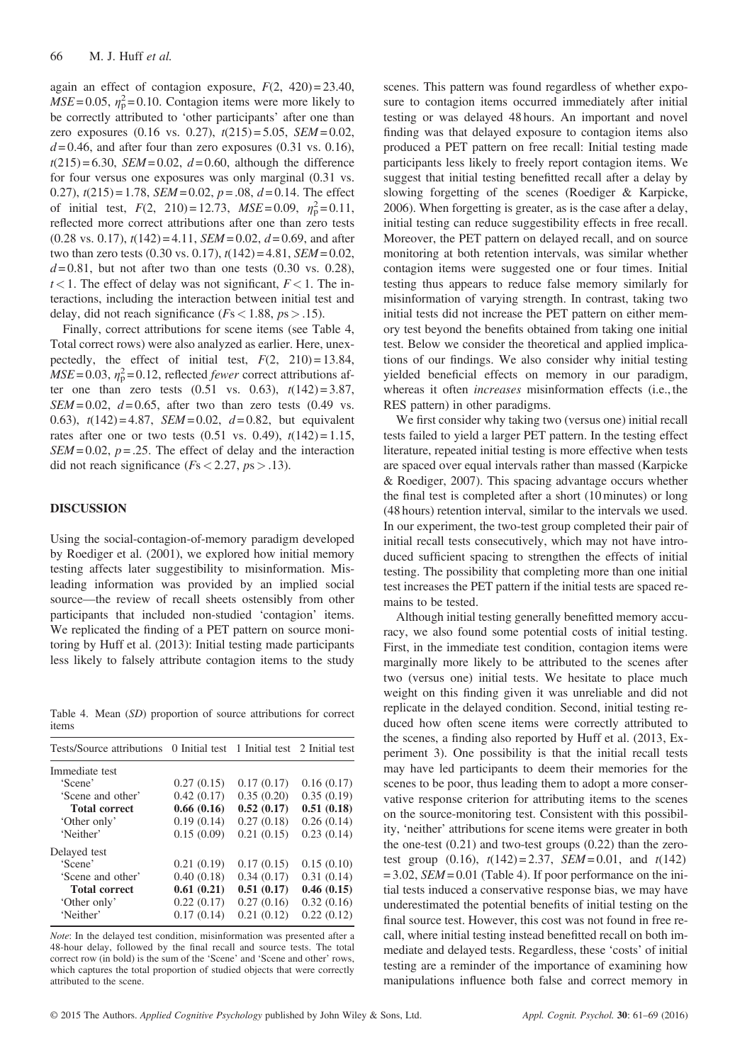again an effect of contagion exposure,  $F(2, 420) = 23.40$ ,  $MSE = 0.05$ ,  $\eta_p^2 = 0.10$ . Contagion items were more likely to be correctly attributed to 'other participants' after one than zero exposures  $(0.16 \text{ vs. } 0.27)$ ,  $t(215) = 5.05$ ,  $SEM = 0.02$ ,  $d = 0.46$ , and after four than zero exposures (0.31 vs. 0.16),  $t(215) = 6.30$ ,  $SEM = 0.02$ ,  $d = 0.60$ , although the difference for four versus one exposures was only marginal (0.31 vs. 0.27),  $t(215) = 1.78$ ,  $SEM = 0.02$ ,  $p = .08$ ,  $d = 0.14$ . The effect of initial test,  $F(2, 210) = 12.73$ ,  $MSE = 0.09$ ,  $\eta_p^2 = 0.11$ , reflected more correct attributions after one than zero tests  $(0.28 \text{ vs. } 0.17)$ ,  $t(142) = 4.11$ ,  $SEM = 0.02$ ,  $d = 0.69$ , and after two than zero tests (0.30 vs. 0.17),  $t(142) = 4.81$ ,  $SEM = 0.02$ ,  $d = 0.81$ , but not after two than one tests (0.30 vs. 0.28),  $t < 1$ . The effect of delay was not significant,  $F < 1$ . The interactions, including the interaction between initial test and delay, did not reach significance ( $Fs < 1.88$ ,  $ps > .15$ ).

Finally, correct attributions for scene items (see Table 4, Total correct rows) were also analyzed as earlier. Here, unexpectedly, the effect of initial test,  $F(2, 210) = 13.84$ ,  $MSE = 0.03$ ,  $\eta_p^2 = 0.12$ , reflected *fewer* correct attributions after one than zero tests  $(0.51 \text{ vs. } 0.63)$ ,  $t(142) = 3.87$ ,  $SEM = 0.02$ ,  $d = 0.65$ , after two than zero tests (0.49 vs. 0.63),  $t(142) = 4.87$ ,  $SEM = 0.02$ ,  $d = 0.82$ , but equivalent rates after one or two tests  $(0.51 \text{ vs. } 0.49)$ ,  $t(142) = 1.15$ ,  $SEM = 0.02$ ,  $p = .25$ . The effect of delay and the interaction did not reach significance  $(Fs < 2.27, ps > .13)$ .

## DISCUSSION

Using the social-contagion-of-memory paradigm developed by Roediger et al. (2001), we explored how initial memory testing affects later suggestibility to misinformation. Misleading information was provided by an implied social source—the review of recall sheets ostensibly from other participants that included non-studied 'contagion' items. We replicated the finding of a PET pattern on source monitoring by Huff et al. (2013): Initial testing made participants less likely to falsely attribute contagion items to the study

Table 4. Mean (SD) proportion of source attributions for correct items

| Tests/Source attributions 0 Initial test 1 Initial test 2 Initial test |            |            |            |
|------------------------------------------------------------------------|------------|------------|------------|
| Immediate test                                                         |            |            |            |
| 'Scene'                                                                | 0.27(0.15) | 0.17(0.17) | 0.16(0.17) |
| 'Scene and other'                                                      | 0.42(0.17) | 0.35(0.20) | 0.35(0.19) |
| <b>Total correct</b>                                                   | 0.66(0.16) | 0.52(0.17) | 0.51(0.18) |
| 'Other only'                                                           | 0.19(0.14) | 0.27(0.18) | 0.26(0.14) |
| 'Neither'                                                              | 0.15(0.09) | 0.21(0.15) | 0.23(0.14) |
| Delayed test                                                           |            |            |            |
| 'Scene'                                                                | 0.21(0.19) | 0.17(0.15) | 0.15(0.10) |
| 'Scene and other'                                                      | 0.40(0.18) | 0.34(0.17) | 0.31(0.14) |
| <b>Total correct</b>                                                   | 0.61(0.21) | 0.51(0.17) | 0.46(0.15) |
| 'Other only'                                                           | 0.22(0.17) | 0.27(0.16) | 0.32(0.16) |
| 'Neither'                                                              | 0.17(0.14) | 0.21(0.12) | 0.22(0.12) |

Note: In the delayed test condition, misinformation was presented after a 48-hour delay, followed by the final recall and source tests. The total correct row (in bold) is the sum of the 'Scene' and 'Scene and other' rows, which captures the total proportion of studied objects that were correctly attributed to the scene.

scenes. This pattern was found regardless of whether exposure to contagion items occurred immediately after initial testing or was delayed 48 hours. An important and novel finding was that delayed exposure to contagion items also produced a PET pattern on free recall: Initial testing made participants less likely to freely report contagion items. We suggest that initial testing benefitted recall after a delay by slowing forgetting of the scenes (Roediger & Karpicke, 2006). When forgetting is greater, as is the case after a delay, initial testing can reduce suggestibility effects in free recall. Moreover, the PET pattern on delayed recall, and on source monitoring at both retention intervals, was similar whether contagion items were suggested one or four times. Initial testing thus appears to reduce false memory similarly for misinformation of varying strength. In contrast, taking two initial tests did not increase the PET pattern on either memory test beyond the benefits obtained from taking one initial test. Below we consider the theoretical and applied implications of our findings. We also consider why initial testing yielded beneficial effects on memory in our paradigm, whereas it often increases misinformation effects (i.e., the RES pattern) in other paradigms.

We first consider why taking two (versus one) initial recall tests failed to yield a larger PET pattern. In the testing effect literature, repeated initial testing is more effective when tests are spaced over equal intervals rather than massed (Karpicke & Roediger, 2007). This spacing advantage occurs whether the final test is completed after a short (10 minutes) or long (48 hours) retention interval, similar to the intervals we used. In our experiment, the two-test group completed their pair of initial recall tests consecutively, which may not have introduced sufficient spacing to strengthen the effects of initial testing. The possibility that completing more than one initial test increases the PET pattern if the initial tests are spaced remains to be tested.

Although initial testing generally benefitted memory accuracy, we also found some potential costs of initial testing. First, in the immediate test condition, contagion items were marginally more likely to be attributed to the scenes after two (versus one) initial tests. We hesitate to place much weight on this finding given it was unreliable and did not replicate in the delayed condition. Second, initial testing reduced how often scene items were correctly attributed to the scenes, a finding also reported by Huff et al. (2013, Experiment 3). One possibility is that the initial recall tests may have led participants to deem their memories for the scenes to be poor, thus leading them to adopt a more conservative response criterion for attributing items to the scenes on the source-monitoring test. Consistent with this possibility, 'neither' attributions for scene items were greater in both the one-test  $(0.21)$  and two-test groups  $(0.22)$  than the zerotest group  $(0.16)$ ,  $t(142) = 2.37$ ,  $SEM = 0.01$ , and  $t(142)$  $= 3.02$ ,  $SEM = 0.01$  (Table 4). If poor performance on the initial tests induced a conservative response bias, we may have underestimated the potential benefits of initial testing on the final source test. However, this cost was not found in free recall, where initial testing instead benefitted recall on both immediate and delayed tests. Regardless, these 'costs' of initial testing are a reminder of the importance of examining how manipulations influence both false and correct memory in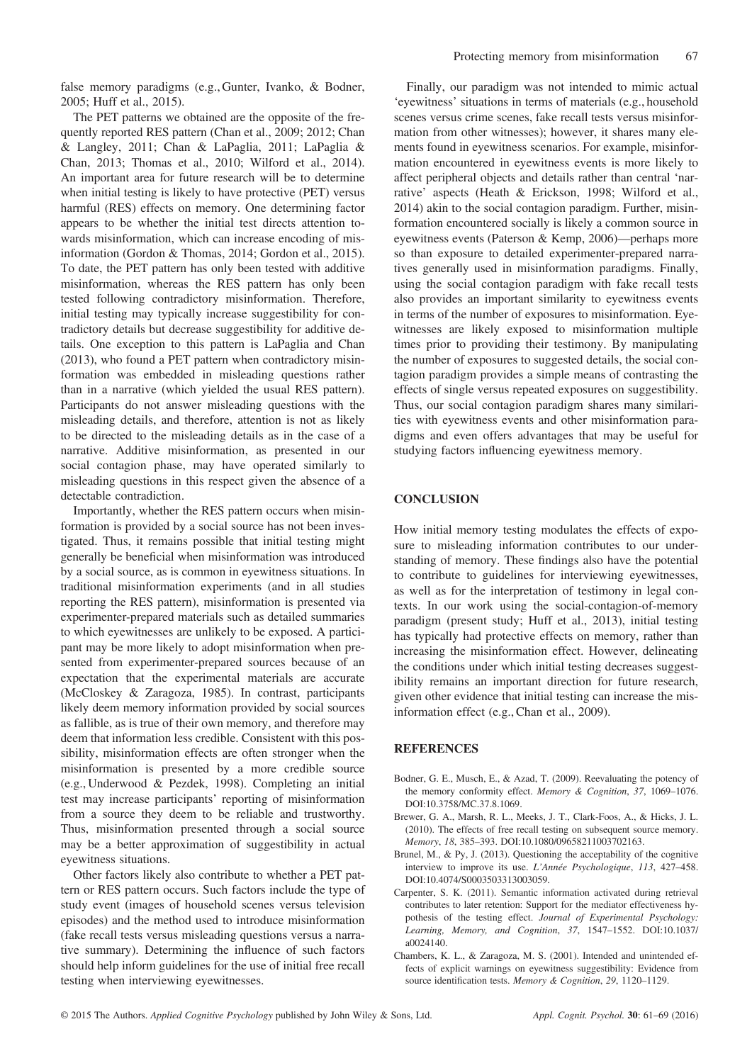false memory paradigms (e.g., Gunter, Ivanko, & Bodner, 2005; Huff et al., 2015).

The PET patterns we obtained are the opposite of the frequently reported RES pattern (Chan et al., 2009; 2012; Chan & Langley, 2011; Chan & LaPaglia, 2011; LaPaglia & Chan, 2013; Thomas et al., 2010; Wilford et al., 2014). An important area for future research will be to determine when initial testing is likely to have protective (PET) versus harmful (RES) effects on memory. One determining factor appears to be whether the initial test directs attention towards misinformation, which can increase encoding of misinformation (Gordon & Thomas, 2014; Gordon et al., 2015). To date, the PET pattern has only been tested with additive misinformation, whereas the RES pattern has only been tested following contradictory misinformation. Therefore, initial testing may typically increase suggestibility for contradictory details but decrease suggestibility for additive details. One exception to this pattern is LaPaglia and Chan (2013), who found a PET pattern when contradictory misinformation was embedded in misleading questions rather than in a narrative (which yielded the usual RES pattern). Participants do not answer misleading questions with the misleading details, and therefore, attention is not as likely to be directed to the misleading details as in the case of a narrative. Additive misinformation, as presented in our social contagion phase, may have operated similarly to misleading questions in this respect given the absence of a detectable contradiction.

Importantly, whether the RES pattern occurs when misinformation is provided by a social source has not been investigated. Thus, it remains possible that initial testing might generally be beneficial when misinformation was introduced by a social source, as is common in eyewitness situations. In traditional misinformation experiments (and in all studies reporting the RES pattern), misinformation is presented via experimenter-prepared materials such as detailed summaries to which eyewitnesses are unlikely to be exposed. A participant may be more likely to adopt misinformation when presented from experimenter-prepared sources because of an expectation that the experimental materials are accurate (McCloskey & Zaragoza, 1985). In contrast, participants likely deem memory information provided by social sources as fallible, as is true of their own memory, and therefore may deem that information less credible. Consistent with this possibility, misinformation effects are often stronger when the misinformation is presented by a more credible source (e.g., Underwood & Pezdek, 1998). Completing an initial test may increase participants' reporting of misinformation from a source they deem to be reliable and trustworthy. Thus, misinformation presented through a social source may be a better approximation of suggestibility in actual eyewitness situations.

Other factors likely also contribute to whether a PET pattern or RES pattern occurs. Such factors include the type of study event (images of household scenes versus television episodes) and the method used to introduce misinformation (fake recall tests versus misleading questions versus a narrative summary). Determining the influence of such factors should help inform guidelines for the use of initial free recall testing when interviewing eyewitnesses.

Finally, our paradigm was not intended to mimic actual 'eyewitness' situations in terms of materials (e.g., household scenes versus crime scenes, fake recall tests versus misinformation from other witnesses); however, it shares many elements found in eyewitness scenarios. For example, misinformation encountered in eyewitness events is more likely to affect peripheral objects and details rather than central 'narrative' aspects (Heath & Erickson, 1998; Wilford et al., 2014) akin to the social contagion paradigm. Further, misinformation encountered socially is likely a common source in eyewitness events (Paterson & Kemp, 2006)—perhaps more so than exposure to detailed experimenter-prepared narratives generally used in misinformation paradigms. Finally, using the social contagion paradigm with fake recall tests also provides an important similarity to eyewitness events in terms of the number of exposures to misinformation. Eyewitnesses are likely exposed to misinformation multiple times prior to providing their testimony. By manipulating the number of exposures to suggested details, the social contagion paradigm provides a simple means of contrasting the effects of single versus repeated exposures on suggestibility. Thus, our social contagion paradigm shares many similarities with eyewitness events and other misinformation paradigms and even offers advantages that may be useful for studying factors influencing eyewitness memory.

## **CONCLUSION**

How initial memory testing modulates the effects of exposure to misleading information contributes to our understanding of memory. These findings also have the potential to contribute to guidelines for interviewing eyewitnesses, as well as for the interpretation of testimony in legal contexts. In our work using the social-contagion-of-memory paradigm (present study; Huff et al., 2013), initial testing has typically had protective effects on memory, rather than increasing the misinformation effect. However, delineating the conditions under which initial testing decreases suggestibility remains an important direction for future research, given other evidence that initial testing can increase the misinformation effect (e.g., Chan et al., 2009).

## REFERENCES

- Bodner, G. E., Musch, E., & Azad, T. (2009). Reevaluating the potency of the memory conformity effect. Memory & Cognition, 37, 1069–1076. DOI:10.3758/MC.37.8.1069.
- Brewer, G. A., Marsh, R. L., Meeks, J. T., Clark-Foos, A., & Hicks, J. L. (2010). The effects of free recall testing on subsequent source memory. Memory, 18, 385–393. DOI:10.1080/09658211003702163.
- Brunel, M., & Py, J. (2013). Questioning the acceptability of the cognitive interview to improve its use. L'Année Psychologique, 113, 427–458. DOI:10.4074/S0003503313003059.
- Carpenter, S. K. (2011). Semantic information activated during retrieval contributes to later retention: Support for the mediator effectiveness hypothesis of the testing effect. Journal of Experimental Psychology: Learning, Memory, and Cognition, 37, 1547–1552. DOI:10.1037/ a0024140.
- Chambers, K. L., & Zaragoza, M. S. (2001). Intended and unintended effects of explicit warnings on eyewitness suggestibility: Evidence from source identification tests. Memory & Cognition, 29, 1120-1129.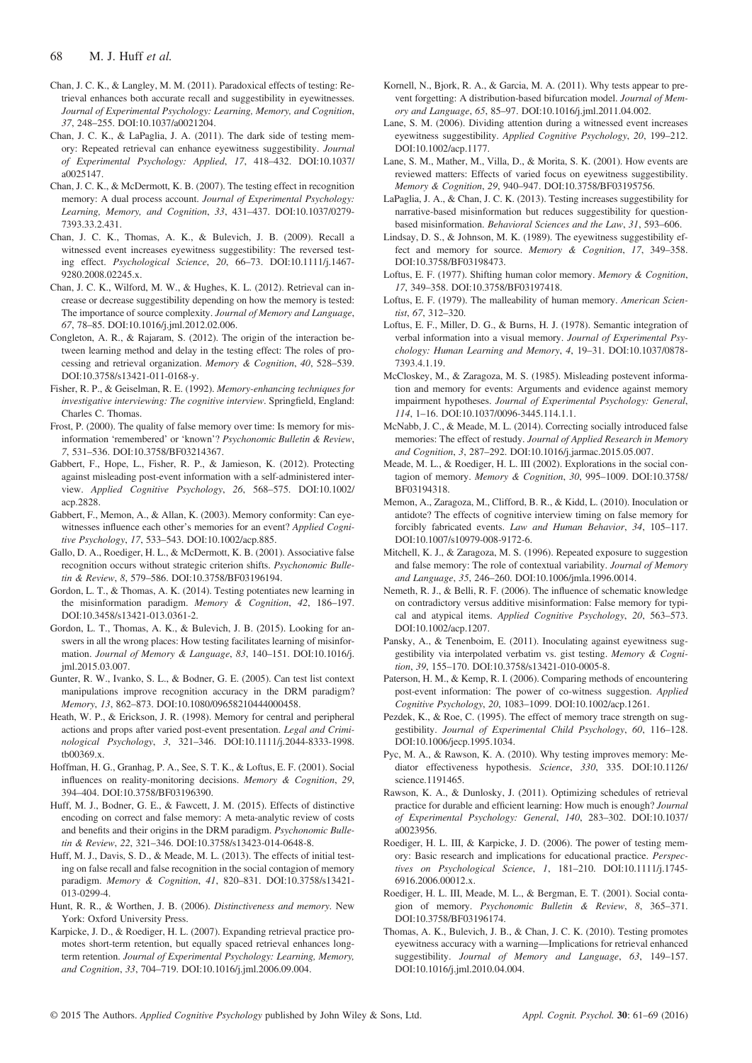#### 68 M. J. Huff et al.

- Chan, J. C. K., & Langley, M. M. (2011). Paradoxical effects of testing: Retrieval enhances both accurate recall and suggestibility in eyewitnesses. Journal of Experimental Psychology: Learning, Memory, and Cognition, 37, 248–255. DOI:10.1037/a0021204.
- Chan, J. C. K., & LaPaglia, J. A. (2011). The dark side of testing memory: Repeated retrieval can enhance eyewitness suggestibility. Journal of Experimental Psychology: Applied, 17, 418–432. DOI:10.1037/ a0025147.
- Chan, J. C. K., & McDermott, K. B. (2007). The testing effect in recognition memory: A dual process account. Journal of Experimental Psychology: Learning, Memory, and Cognition, 33, 431–437. DOI:10.1037/0279- 7393.33.2.431.
- Chan, J. C. K., Thomas, A. K., & Bulevich, J. B. (2009). Recall a witnessed event increases eyewitness suggestibility: The reversed testing effect. Psychological Science, 20, 66–73. DOI:10.1111/j.1467- 9280.2008.02245.x.
- Chan, J. C. K., Wilford, M. W., & Hughes, K. L. (2012). Retrieval can increase or decrease suggestibility depending on how the memory is tested: The importance of source complexity. Journal of Memory and Language, 67, 78–85. DOI:10.1016/j.jml.2012.02.006.
- Congleton, A. R., & Rajaram, S. (2012). The origin of the interaction between learning method and delay in the testing effect: The roles of processing and retrieval organization. Memory & Cognition, 40, 528–539. DOI:10.3758/s13421-011-0168-y.
- Fisher, R. P., & Geiselman, R. E. (1992). Memory-enhancing techniques for investigative interviewing: The cognitive interview. Springfield, England: Charles C. Thomas.
- Frost, P. (2000). The quality of false memory over time: Is memory for misinformation 'remembered' or 'known'? Psychonomic Bulletin & Review, 7, 531–536. DOI:10.3758/BF03214367.
- Gabbert, F., Hope, L., Fisher, R. P., & Jamieson, K. (2012). Protecting against misleading post-event information with a self-administered interview. Applied Cognitive Psychology, 26, 568–575. DOI:10.1002/ acp.2828.
- Gabbert, F., Memon, A., & Allan, K. (2003). Memory conformity: Can eyewitnesses influence each other's memories for an event? Applied Cognitive Psychology, 17, 533–543. DOI:10.1002/acp.885.
- Gallo, D. A., Roediger, H. L., & McDermott, K. B. (2001). Associative false recognition occurs without strategic criterion shifts. Psychonomic Bulletin & Review, 8, 579–586. DOI:10.3758/BF03196194.
- Gordon, L. T., & Thomas, A. K. (2014). Testing potentiates new learning in the misinformation paradigm. Memory & Cognition, 42, 186–197. DOI:10.3458/s13421-013.0361-2.
- Gordon, L. T., Thomas, A. K., & Bulevich, J. B. (2015). Looking for answers in all the wrong places: How testing facilitates learning of misinformation. Journal of Memory & Language, 83, 140–151. DOI:10.1016/j. iml.2015.03.007.
- Gunter, R. W., Ivanko, S. L., & Bodner, G. E. (2005). Can test list context manipulations improve recognition accuracy in the DRM paradigm? Memory, 13, 862–873. DOI:10.1080/09658210444000458.
- Heath, W. P., & Erickson, J. R. (1998). Memory for central and peripheral actions and props after varied post-event presentation. Legal and Criminological Psychology, 3, 321–346. DOI:10.1111/j.2044-8333-1998. tb00369.x.
- Hoffman, H. G., Granhag, P. A., See, S. T. K., & Loftus, E. F. (2001). Social influences on reality-monitoring decisions. Memory & Cognition, 29, 394–404. DOI:10.3758/BF03196390.
- Huff, M. J., Bodner, G. E., & Fawcett, J. M. (2015). Effects of distinctive encoding on correct and false memory: A meta-analytic review of costs and benefits and their origins in the DRM paradigm. Psychonomic Bulletin & Review, 22, 321–346. DOI:10.3758/s13423-014-0648-8.
- Huff, M. J., Davis, S. D., & Meade, M. L. (2013). The effects of initial testing on false recall and false recognition in the social contagion of memory paradigm. Memory & Cognition, 41, 820–831. DOI:10.3758/s13421- 013-0299-4.
- Hunt, R. R., & Worthen, J. B. (2006). Distinctiveness and memory. New York: Oxford University Press.
- Karpicke, J. D., & Roediger, H. L. (2007). Expanding retrieval practice promotes short-term retention, but equally spaced retrieval enhances longterm retention. Journal of Experimental Psychology: Learning, Memory, and Cognition, 33, 704–719. DOI:10.1016/j.jml.2006.09.004.
- Kornell, N., Bjork, R. A., & Garcia, M. A. (2011). Why tests appear to prevent forgetting: A distribution-based bifurcation model. Journal of Memory and Language, 65, 85–97. DOI:10.1016/j.jml.2011.04.002.
- Lane, S. M. (2006). Dividing attention during a witnessed event increases eyewitness suggestibility. Applied Cognitive Psychology, 20, 199–212. DOI:10.1002/acp.1177.
- Lane, S. M., Mather, M., Villa, D., & Morita, S. K. (2001). How events are reviewed matters: Effects of varied focus on eyewitness suggestibility. Memory & Cognition, 29, 940–947. DOI:10.3758/BF03195756.
- LaPaglia, J. A., & Chan, J. C. K. (2013). Testing increases suggestibility for narrative-based misinformation but reduces suggestibility for questionbased misinformation. Behavioral Sciences and the Law, 31, 593–606.
- Lindsay, D. S., & Johnson, M. K. (1989). The eyewitness suggestibility effect and memory for source. Memory & Cognition, 17, 349–358. DOI:10.3758/BF03198473.
- Loftus, E. F. (1977). Shifting human color memory. Memory & Cognition, 17, 349–358. DOI:10.3758/BF03197418.
- Loftus, E. F. (1979). The malleability of human memory. American Scientist, 67, 312–320.
- Loftus, E. F., Miller, D. G., & Burns, H. J. (1978). Semantic integration of verbal information into a visual memory. Journal of Experimental Psychology: Human Learning and Memory, 4, 19–31. DOI:10.1037/0878- 7393.4.1.19.
- McCloskey, M., & Zaragoza, M. S. (1985). Misleading postevent information and memory for events: Arguments and evidence against memory impairment hypotheses. Journal of Experimental Psychology: General, 114, 1–16. DOI:10.1037/0096-3445.114.1.1.
- McNabb, J. C., & Meade, M. L. (2014). Correcting socially introduced false memories: The effect of restudy. Journal of Applied Research in Memory and Cognition, 3, 287–292. DOI:10.1016/j.jarmac.2015.05.007.
- Meade, M. L., & Roediger, H. L. III (2002). Explorations in the social contagion of memory. Memory & Cognition, 30, 995–1009. DOI:10.3758/ BF03194318.
- Memon, A., Zaragoza, M., Clifford, B. R., & Kidd, L. (2010). Inoculation or antidote? The effects of cognitive interview timing on false memory for forcibly fabricated events. Law and Human Behavior, 34, 105–117. DOI:10.1007/s10979-008-9172-6.
- Mitchell, K. J., & Zaragoza, M. S. (1996). Repeated exposure to suggestion and false memory: The role of contextual variability. Journal of Memory and Language, 35, 246–260. DOI:10.1006/jmla.1996.0014.
- Nemeth, R. J., & Belli, R. F. (2006). The influence of schematic knowledge on contradictory versus additive misinformation: False memory for typical and atypical items. Applied Cognitive Psychology, 20, 563–573. DOI:10.1002/acp.1207.
- Pansky, A., & Tenenboim, E. (2011). Inoculating against eyewitness suggestibility via interpolated verbatim vs. gist testing. Memory & Cognition, 39, 155–170. DOI:10.3758/s13421-010-0005-8.
- Paterson, H. M., & Kemp, R. I. (2006). Comparing methods of encountering post-event information: The power of co-witness suggestion. Applied Cognitive Psychology, 20, 1083–1099. DOI:10.1002/acp.1261.
- Pezdek, K., & Roe, C. (1995). The effect of memory trace strength on suggestibility. Journal of Experimental Child Psychology, 60, 116–128. DOI:10.1006/jecp.1995.1034.
- Pyc, M. A., & Rawson, K. A. (2010). Why testing improves memory: Mediator effectiveness hypothesis. Science, 330, 335. DOI:10.1126/ science.1191465.
- Rawson, K. A., & Dunlosky, J. (2011). Optimizing schedules of retrieval practice for durable and efficient learning: How much is enough? Journal of Experimental Psychology: General, 140, 283–302. DOI:10.1037/ a0023956.
- Roediger, H. L. III, & Karpicke, J. D. (2006). The power of testing memory: Basic research and implications for educational practice. Perspectives on Psychological Science, 1, 181–210. DOI:10.1111/j.1745- 6916.2006.00012.x.
- Roediger, H. L. III, Meade, M. L., & Bergman, E. T. (2001). Social contagion of memory. Psychonomic Bulletin & Review, 8, 365–371. DOI:10.3758/BF03196174.
- Thomas, A. K., Bulevich, J. B., & Chan, J. C. K. (2010). Testing promotes eyewitness accuracy with a warning—Implications for retrieval enhanced suggestibility. Journal of Memory and Language, 63, 149–157. DOI:10.1016/j.jml.2010.04.004.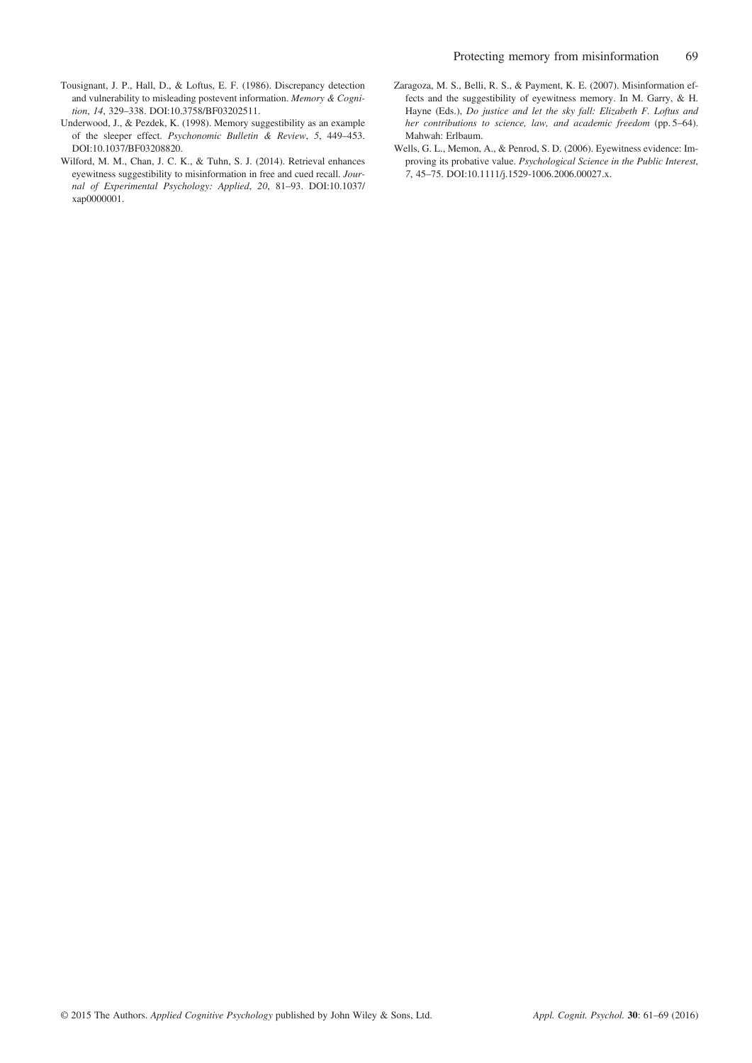- Tousignant, J. P., Hall, D., & Loftus, E. F. (1986). Discrepancy detection and vulnerability to misleading postevent information. Memory & Cognition, 14, 329–338. DOI:10.3758/BF03202511.
- Underwood, J., & Pezdek, K. (1998). Memory suggestibility as an example of the sleeper effect. Psychonomic Bulletin & Review, 5, 449–453. DOI:10.1037/BF03208820.
- Wilford, M. M., Chan, J. C. K., & Tuhn, S. J. (2014). Retrieval enhances eyewitness suggestibility to misinformation in free and cued recall. Journal of Experimental Psychology: Applied, 20, 81–93. DOI:10.1037/ xap0000001.
- Zaragoza, M. S., Belli, R. S., & Payment, K. E. (2007). Misinformation effects and the suggestibility of eyewitness memory. In M. Garry, & H. Hayne (Eds.), Do justice and let the sky fall: Elizabeth F. Loftus and her contributions to science, law, and academic freedom (pp. 5–64). Mahwah: Erlbaum.
- Wells, G. L., Memon, A., & Penrod, S. D. (2006). Eyewitness evidence: Improving its probative value. Psychological Science in the Public Interest, 7, 45–75. DOI:10.1111/j.1529-1006.2006.00027.x.